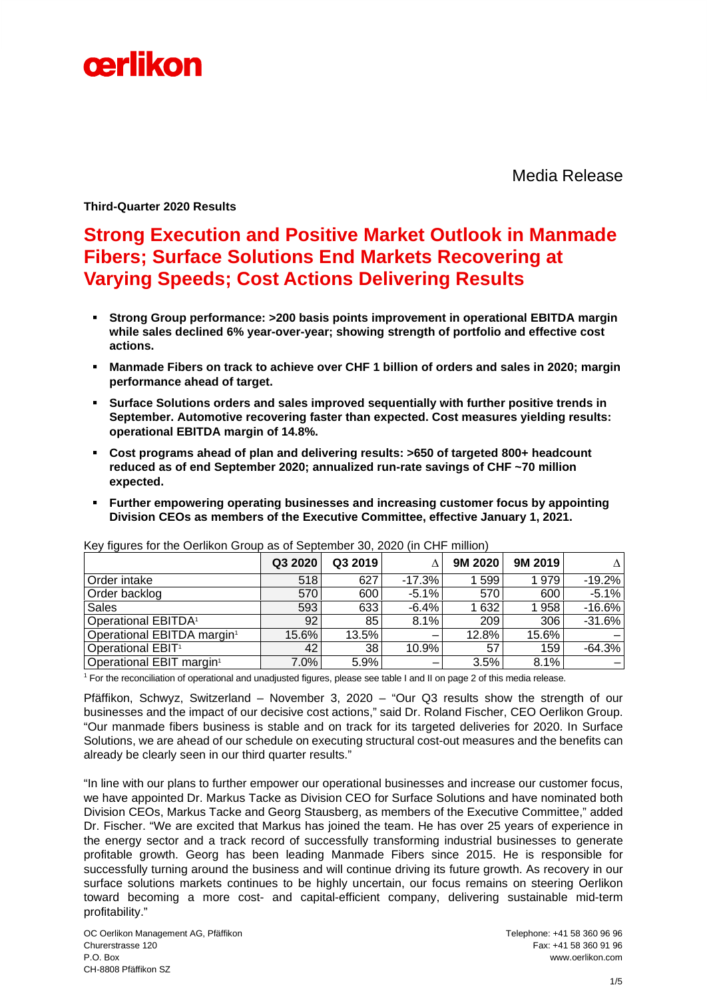

Media Release

**Third-Quarter 2020 Results** 

# **Strong Execution and Positive Market Outlook in Manmade Fibers; Surface Solutions End Markets Recovering at Varying Speeds; Cost Actions Delivering Results**

- **Strong Group performance: >200 basis points improvement in operational EBITDA margin while sales declined 6% year-over-year; showing strength of portfolio and effective cost actions.**
- **Manmade Fibers on track to achieve over CHF 1 billion of orders and sales in 2020; margin performance ahead of target.**
- **Surface Solutions orders and sales improved sequentially with further positive trends in September. Automotive recovering faster than expected. Cost measures yielding results: operational EBITDA margin of 14.8%.**
- **Cost programs ahead of plan and delivering results: >650 of targeted 800+ headcount reduced as of end September 2020; annualized run-rate savings of CHF ~70 million expected.**
- **Further empowering operating businesses and increasing customer focus by appointing Division CEOs as members of the Executive Committee, effective January 1, 2021.**

|                                        | Q3 2020 | Q3 2019 |          | 9M 2020 | 9M 2019 | Λ         |
|----------------------------------------|---------|---------|----------|---------|---------|-----------|
| Order intake                           | 518     | 627     | $-17.3%$ | 599     | 1979    | $-19.2\%$ |
| Order backlog                          | 570     | 600     | $-5.1%$  | 570     | 600     | $-5.1%$   |
| <b>Sales</b>                           | 593     | 633     | $-6.4%$  | 1 632   | 1958    | $-16.6%$  |
| <b>Operational EBITDA<sup>1</sup></b>  | 92      | 85      | 8.1%     | 209     | 306     | $-31.6%$  |
| Operational EBITDA margin <sup>1</sup> | 15.6%   | 13.5%   |          | 12.8%   | 15.6%   |           |
| Operational EBIT <sup>1</sup>          | 42      | 38      | 10.9%    | 57      | 159     | $-64.3%$  |
| Operational EBIT margin <sup>1</sup>   | 7.0%    | 5.9%    |          | 3.5%    | 8.1%    |           |

Key figures for the Oerlikon Group as of September 30, 2020 (in CHF million)

1 For the reconciliation of operational and unadjusted figures, please see table I and II on page 2 of this media release.

Pfäffikon, Schwyz, Switzerland – November 3, 2020 – "Our Q3 results show the strength of our businesses and the impact of our decisive cost actions," said Dr. Roland Fischer, CEO Oerlikon Group. "Our manmade fibers business is stable and on track for its targeted deliveries for 2020. In Surface Solutions, we are ahead of our schedule on executing structural cost-out measures and the benefits can already be clearly seen in our third quarter results."

"In line with our plans to further empower our operational businesses and increase our customer focus, we have appointed Dr. Markus Tacke as Division CEO for Surface Solutions and have nominated both Division CEOs, Markus Tacke and Georg Stausberg, as members of the Executive Committee," added Dr. Fischer. "We are excited that Markus has joined the team. He has over 25 years of experience in the energy sector and a track record of successfully transforming industrial businesses to generate profitable growth. Georg has been leading Manmade Fibers since 2015. He is responsible for successfully turning around the business and will continue driving its future growth. As recovery in our surface solutions markets continues to be highly uncertain, our focus remains on steering Oerlikon toward becoming a more cost- and capital-efficient company, delivering sustainable mid-term profitability."

OC Oerlikon Management AG, Pfäffikon Telephone: +41 58 360 96 96 Churerstrasse 120 Fax: +41 58 360 91 96 P.O. Box www.oerlikon.com CH-8808 Pfäffikon SZ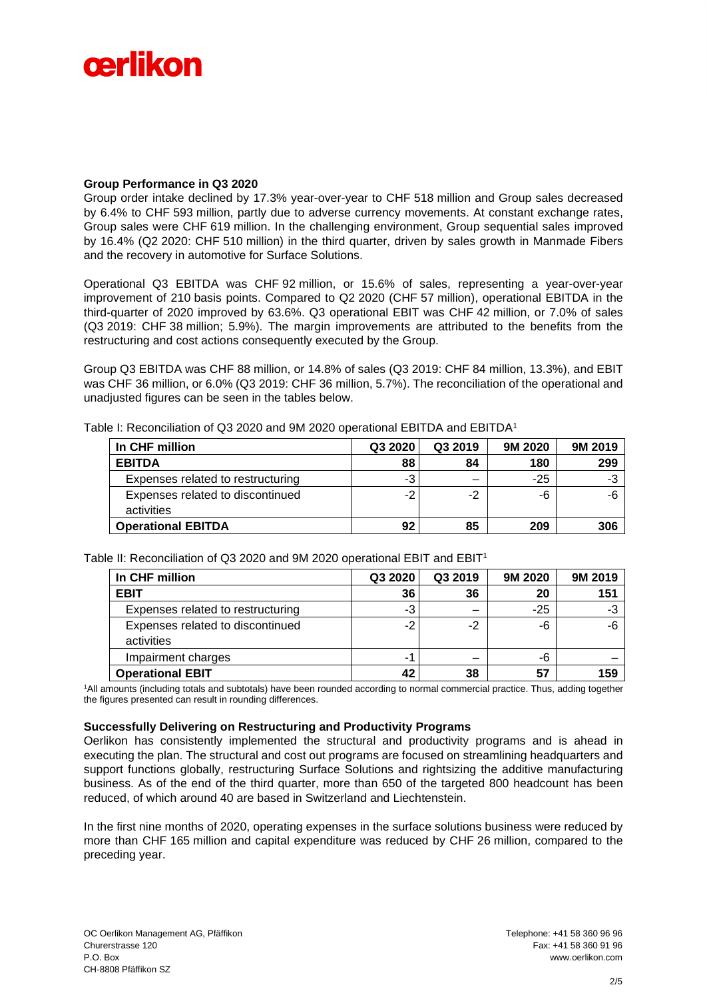

# **Group Performance in Q3 2020**

Group order intake declined by 17.3% year-over-year to CHF 518 million and Group sales decreased by 6.4% to CHF 593 million, partly due to adverse currency movements. At constant exchange rates, Group sales were CHF 619 million. In the challenging environment, Group sequential sales improved by 16.4% (Q2 2020: CHF 510 million) in the third quarter, driven by sales growth in Manmade Fibers and the recovery in automotive for Surface Solutions.

Operational Q3 EBITDA was CHF 92 million, or 15.6% of sales, representing a year-over-year improvement of 210 basis points. Compared to Q2 2020 (CHF 57 million), operational EBITDA in the third-quarter of 2020 improved by 63.6%. Q3 operational EBIT was CHF 42 million, or 7.0% of sales (Q3 2019: CHF 38 million; 5.9%). The margin improvements are attributed to the benefits from the restructuring and cost actions consequently executed by the Group.

Group Q3 EBITDA was CHF 88 million, or 14.8% of sales (Q3 2019: CHF 84 million, 13.3%), and EBIT was CHF 36 million, or 6.0% (Q3 2019: CHF 36 million, 5.7%). The reconciliation of the operational and unadjusted figures can be seen in the tables below.

| In CHF million                    | Q3 2020 | Q3 2019 | 9M 2020 | 9M 2019 |
|-----------------------------------|---------|---------|---------|---------|
| <b>EBITDA</b>                     | 88      | 84      | 180     | 299     |
| Expenses related to restructuring | -3      |         | $-25$   | -3      |
| Expenses related to discontinued  | -2      | -2      | -6      | -6      |
| activities                        |         |         |         |         |
| <b>Operational EBITDA</b>         | 92      | 85      | 209     | 306     |

Table I: Reconciliation of Q3 2020 and 9M 2020 operational EBITDA and EBITDA<sup>1</sup>

Table II: Reconciliation of Q3 2020 and 9M 2020 operational EBIT and EBIT<sup>1</sup>

| In CHF million                                 | Q3 2020 | Q3 2019 | 9M 2020 | 9M 2019 |
|------------------------------------------------|---------|---------|---------|---------|
| <b>EBIT</b>                                    | 36      | 36      | 20      | 151     |
| Expenses related to restructuring              | -3      |         | $-25$   | -3      |
| Expenses related to discontinued<br>activities | -2      | -2      | -6      | -6      |
| Impairment charges                             |         |         | -6      |         |
| <b>Operational EBIT</b>                        | 42      | 38      | 57      | 159     |

<sup>1</sup>All amounts (including totals and subtotals) have been rounded according to normal commercial practice. Thus, adding together the figures presented can result in rounding differences.

#### **Successfully Delivering on Restructuring and Productivity Programs**

Oerlikon has consistently implemented the structural and productivity programs and is ahead in executing the plan. The structural and cost out programs are focused on streamlining headquarters and support functions globally, restructuring Surface Solutions and rightsizing the additive manufacturing business. As of the end of the third quarter, more than 650 of the targeted 800 headcount has been reduced, of which around 40 are based in Switzerland and Liechtenstein.

In the first nine months of 2020, operating expenses in the surface solutions business were reduced by more than CHF 165 million and capital expenditure was reduced by CHF 26 million, compared to the preceding year.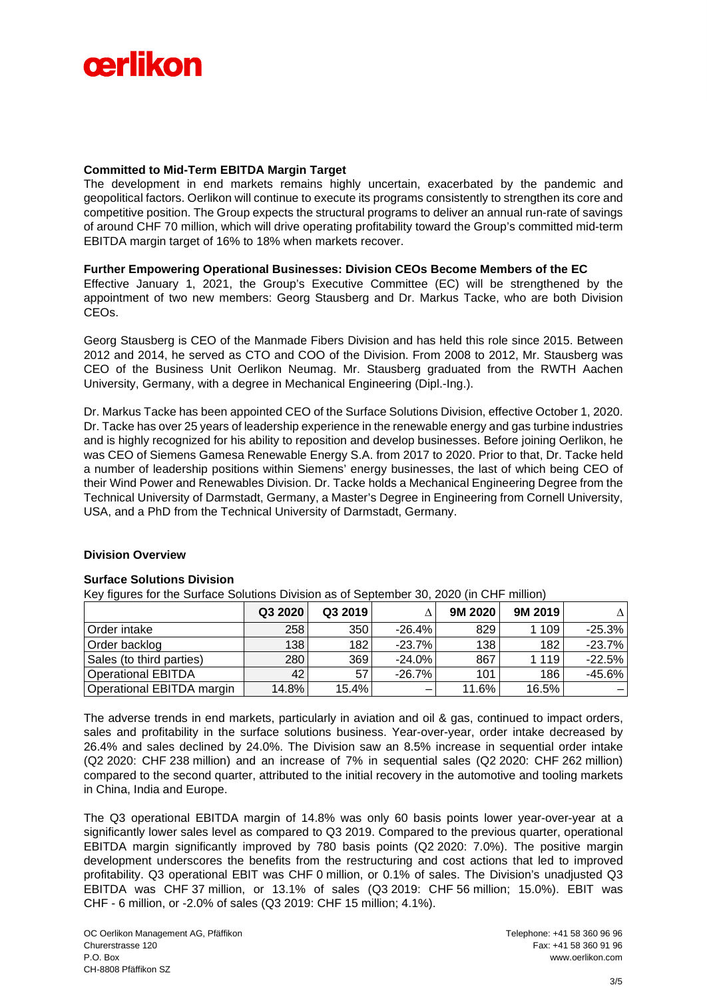

# **Committed to Mid-Term EBITDA Margin Target**

The development in end markets remains highly uncertain, exacerbated by the pandemic and geopolitical factors. Oerlikon will continue to execute its programs consistently to strengthen its core and competitive position. The Group expects the structural programs to deliver an annual run-rate of savings of around CHF 70 million, which will drive operating profitability toward the Group's committed mid-term EBITDA margin target of 16% to 18% when markets recover.

# **Further Empowering Operational Businesses: Division CEOs Become Members of the EC**

Effective January 1, 2021, the Group's Executive Committee (EC) will be strengthened by the appointment of two new members: Georg Stausberg and Dr. Markus Tacke, who are both Division CEOs.

Georg Stausberg is CEO of the Manmade Fibers Division and has held this role since 2015. Between 2012 and 2014, he served as CTO and COO of the Division. From 2008 to 2012, Mr. Stausberg was CEO of the Business Unit Oerlikon Neumag. Mr. Stausberg graduated from the RWTH Aachen University, Germany, with a degree in Mechanical Engineering (Dipl.-Ing.).

Dr. Markus Tacke has been appointed CEO of the Surface Solutions Division, effective October 1, 2020. Dr. Tacke has over 25 years of leadership experience in the renewable energy and gas turbine industries and is highly recognized for his ability to reposition and develop businesses. Before joining Oerlikon, he was CEO of Siemens Gamesa Renewable Energy S.A. from 2017 to 2020. Prior to that, Dr. Tacke held a number of leadership positions within Siemens' energy businesses, the last of which being CEO of their Wind Power and Renewables Division. Dr. Tacke holds a Mechanical Engineering Degree from the Technical University of Darmstadt, Germany, a Master's Degree in Engineering from Cornell University, USA, and a PhD from the Technical University of Darmstadt, Germany.

# **Division Overview**

#### **Surface Solutions Division**

Key figures for the Surface Solutions Division as of September 30, 2020 (in CHF million)

|                           | Q3 2020 | Q3 2019 |           | 9M 2020 | 9M 2019 | Λ        |
|---------------------------|---------|---------|-----------|---------|---------|----------|
| Order intake              | 258     | 350     | $-26.4%$  | 829     | 1 1 0 9 | -25.3%   |
| Order backlog             | 138     | 182     | $-23.7\%$ | 138     | 182     | -23.7%   |
| Sales (to third parties)  | 280     | 369     | $-24.0\%$ | 867     | 1 1 1 9 | $-22.5%$ |
| Operational EBITDA        | 42      | 57      | $-26.7%$  | 101     | 186     | -45.6%   |
| Operational EBITDA margin | 14.8%   | 15.4%   |           | 11.6%   | 16.5%   |          |

The adverse trends in end markets, particularly in aviation and oil & gas, continued to impact orders, sales and profitability in the surface solutions business. Year-over-year, order intake decreased by 26.4% and sales declined by 24.0%. The Division saw an 8.5% increase in sequential order intake (Q2 2020: CHF 238 million) and an increase of 7% in sequential sales (Q2 2020: CHF 262 million) compared to the second quarter, attributed to the initial recovery in the automotive and tooling markets in China, India and Europe.

The Q3 operational EBITDA margin of 14.8% was only 60 basis points lower year-over-year at a significantly lower sales level as compared to Q3 2019. Compared to the previous quarter, operational EBITDA margin significantly improved by 780 basis points (Q2 2020: 7.0%). The positive margin development underscores the benefits from the restructuring and cost actions that led to improved profitability. Q3 operational EBIT was CHF 0 million, or 0.1% of sales. The Division's unadjusted Q3 EBITDA was CHF 37 million, or 13.1% of sales (Q3 2019: CHF 56 million; 15.0%). EBIT was CHF - 6 million, or -2.0% of sales (Q3 2019: CHF 15 million; 4.1%).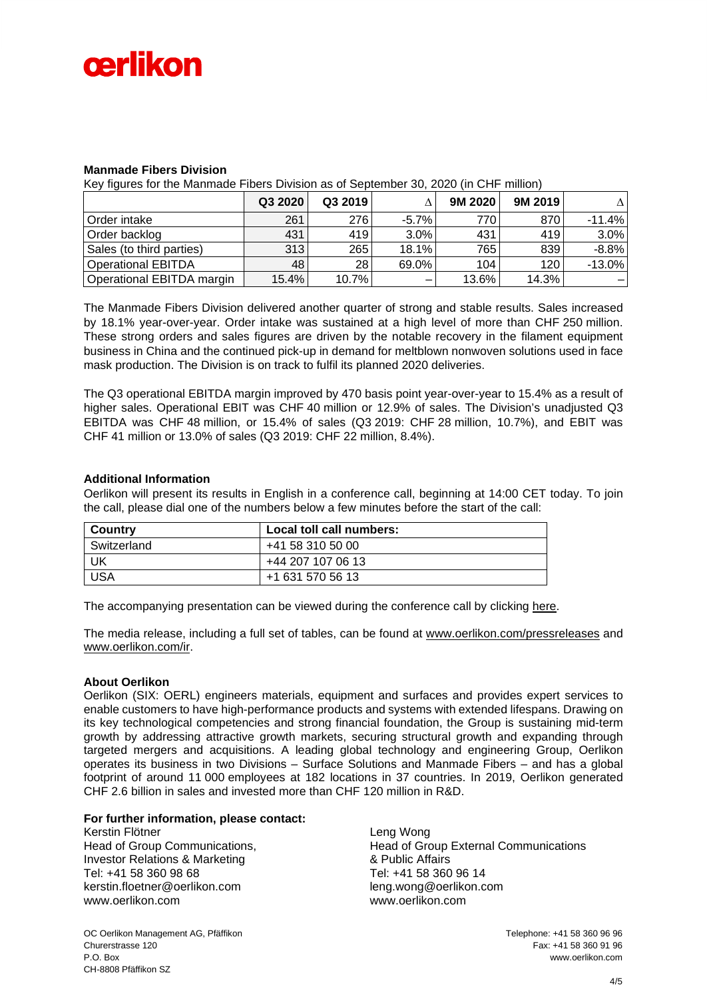

# **Manmade Fibers Division**

Key figures for the Manmade Fibers Division as of September 30, 2020 (in CHF million)

|                           | Q3 2020 | Q3 2019 |          | 9M 2020 | 9M 2019 |          |
|---------------------------|---------|---------|----------|---------|---------|----------|
| Order intake              | 261     | 276     | $-5.7\%$ | 770     | 870     | $-11.4%$ |
| Order backlog             | 431     | 419     | 3.0%     | 431     | 419     | 3.0%     |
| Sales (to third parties)  | 313     | 265     | 18.1%    | 765     | 839     | $-8.8%$  |
| <b>Operational EBITDA</b> | 48      | 28      | 69.0%    | 104     | 120     | $-13.0%$ |
| Operational EBITDA margin | 15.4%   | 10.7%   |          | 13.6%   | 14.3%   |          |

The Manmade Fibers Division delivered another quarter of strong and stable results. Sales increased by 18.1% year-over-year. Order intake was sustained at a high level of more than CHF 250 million. These strong orders and sales figures are driven by the notable recovery in the filament equipment business in China and the continued pick-up in demand for meltblown nonwoven solutions used in face mask production. The Division is on track to fulfil its planned 2020 deliveries.

The Q3 operational EBITDA margin improved by 470 basis point year-over-year to 15.4% as a result of higher sales. Operational EBIT was CHF 40 million or 12.9% of sales. The Division's unadjusted Q3 EBITDA was CHF 48 million, or 15.4% of sales (Q3 2019: CHF 28 million, 10.7%), and EBIT was CHF 41 million or 13.0% of sales (Q3 2019: CHF 22 million, 8.4%).

#### **Additional Information**

Oerlikon will present its results in English in a conference call, beginning at 14:00 CET today. To join the call, please dial one of the numbers below a few minutes before the start of the call:

| Country     | Local toll call numbers: |
|-------------|--------------------------|
| Switzerland | +41 58 310 50 00         |
| UK          | +44 207 107 06 13        |
| USA         | +1 631 570 56 13         |

The accompanying presentation can be viewed during the conference call by clicking [here.](https://78449.choruscall.com/dataconf/productusers/oerlikon/mediaframe/40658/indexl.html)

The media release, including a full set of tables, can be found at [www.oerlikon.com/pressreleases](http://www.oerlikon.com/pressreleases) and [www.oerlikon.com/ir.](http://www.oerlikon.com/ir)

#### **About Oerlikon**

Oerlikon (SIX: OERL) engineers materials, equipment and surfaces and provides expert services to enable customers to have high-performance products and systems with extended lifespans. Drawing on its key technological competencies and strong financial foundation, the Group is sustaining mid-term growth by addressing attractive growth markets, securing structural growth and expanding through targeted mergers and acquisitions. A leading global technology and engineering Group, Oerlikon operates its business in two Divisions – Surface Solutions and Manmade Fibers – and has a global footprint of around 11 000 employees at 182 locations in 37 countries. In 2019, Oerlikon generated CHF 2.6 billion in sales and invested more than CHF 120 million in R&D.

### **For further information, please contact:**

Kerstin Flötner Head of Group Communications, Investor Relations & Marketing Tel: +41 58 360 98 68 kerstin.floetner@oerlikon.com [www.oerlikon.com](http://www.oerlikon.com/)

Leng Wong Head of Group External Communications & Public Affairs Tel: +41 58 360 96 14 leng.wong@oerlikon.com www.oerlikon.com

OC Oerlikon Management AG, Pfäffikon Telephone: +41 58 360 96 96 Churerstrasse 120 Fax: +41 58 360 91 96 P.O. Box www.oerlikon.com CH-8808 Pfäffikon SZ